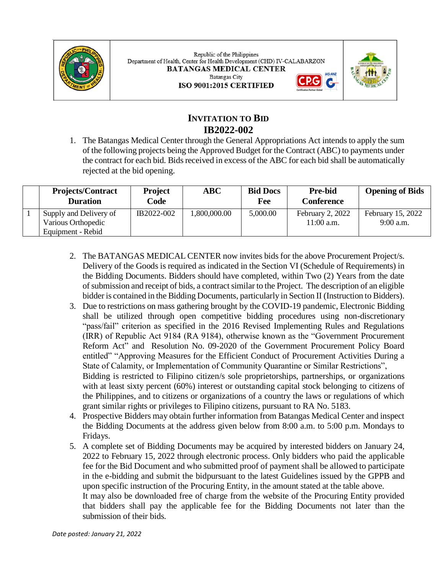

Republic of the Philippines Department of Health, Center for Health Development (CHD) IV-CALABARZON **BATANGAS MEDICAL CENTER IAS-ANZ Batangas City** ISO 9001:2015 CERTIFIED



G,

# **INVITATION TO BID IB2022-002**

1. The Batangas Medical Center through the General Appropriations Act intends to apply the sum of the following projects being the Approved Budget for the Contract (ABC) to payments under the contract for each bid. Bids received in excess of the ABC for each bid shall be automatically rejected at the bid opening.

| <b>Projects/Contract</b><br><b>Duration</b>  | <b>Project</b><br>Code | $\bf ABC$    | <b>Bid Docs</b><br>Fee | <b>Pre-bid</b><br><b>Conference</b> | <b>Opening of Bids</b>           |
|----------------------------------------------|------------------------|--------------|------------------------|-------------------------------------|----------------------------------|
| Supply and Delivery of<br>Various Orthopedic | IB2022-002             | 1,800,000.00 | 5,000.00               | February 2, 2022<br>$11:00$ a.m.    | February 15, 2022<br>$9:00$ a.m. |
| Equipment - Rebid                            |                        |              |                        |                                     |                                  |

- 2. The BATANGAS MEDICAL CENTER now invites bids for the above Procurement Project/s. Delivery of the Goods is required as indicated in the Section VI (Schedule of Requirements) in the Bidding Documents. Bidders should have completed, within Two (2) Years from the date of submission and receipt of bids, a contract similar to the Project. The description of an eligible bidder is contained in the Bidding Documents, particularly in Section II (Instruction to Bidders).
- 3. Due to restrictions on mass gathering brought by the COVID-19 pandemic, Electronic Bidding shall be utilized through open competitive bidding procedures using non-discretionary "pass/fail" criterion as specified in the 2016 Revised Implementing Rules and Regulations (IRR) of Republic Act 9184 (RA 9184), otherwise known as the "Government Procurement Reform Act" and Resolution No. 09-2020 of the Government Procurement Policy Board entitled" "Approving Measures for the Efficient Conduct of Procurement Activities During a State of Calamity, or Implementation of Community Quarantine or Similar Restrictions", Bidding is restricted to Filipino citizen/s sole proprietorships, partnerships, or organizations with at least sixty percent (60%) interest or outstanding capital stock belonging to citizens of the Philippines, and to citizens or organizations of a country the laws or regulations of which grant similar rights or privileges to Filipino citizens, pursuant to RA No. 5183.
- 4. Prospective Bidders may obtain further information from Batangas Medical Center and inspect the Bidding Documents at the address given below from 8:00 a.m. to 5:00 p.m. Mondays to Fridays.
- 5. A complete set of Bidding Documents may be acquired by interested bidders on January 24, 2022 to February 15, 2022 through electronic process. Only bidders who paid the applicable fee for the Bid Document and who submitted proof of payment shall be allowed to participate in the e-bidding and submit the bidpursuant to the latest Guidelines issued by the GPPB and upon specific instruction of the Procuring Entity, in the amount stated at the table above. It may also be downloaded free of charge from the website of the Procuring Entity provided

that bidders shall pay the applicable fee for the Bidding Documents not later than the submission of their bids.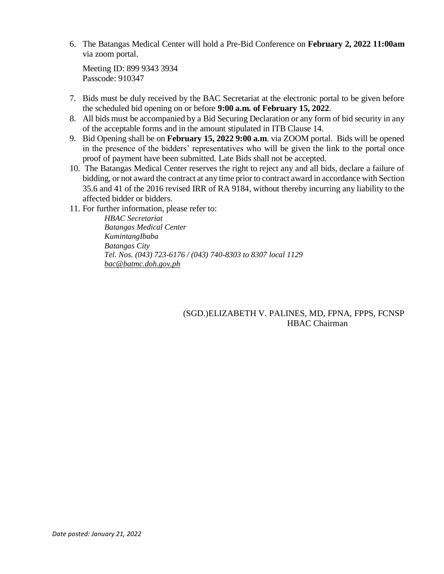6. The Batangas Medical Center will hold a Pre-Bid Conference on **February 2, 2022 11:00am** via zoom portal.

Meeting ID: 899 9343 3934 Passcode: 910347

- 7. Bids must be duly received by the BAC Secretariat at the electronic portal to be given before the scheduled bid opening on or before **9:00 a.m. of February 15, 2022**.
- 8. All bids must be accompanied by a Bid Securing Declaration or any form of bid security in any of the acceptable forms and in the amount stipulated in ITB Clause 14.
- 9. Bid Opening shall be on **February 15, 2022 9:00 a.m**. via ZOOM portal. Bids will be opened in the presence of the bidders' representatives who will be given the link to the portal once proof of payment have been submitted. Late Bids shall not be accepted.
- 10. The Batangas Medical Center reserves the right to reject any and all bids, declare a failure of bidding, or not award the contract at any time prior to contract award in accordance with Section 35.6 and 41 of the 2016 revised IRR of RA 9184, without thereby incurring any liability to the affected bidder or bidders.
- 11. For further information, please refer to:

*HBAC Secretariat Batangas Medical Center KumintangIbaba Batangas City Tel. Nos. (043) 723-6176 / (043) 740-8303 to 8307 local 1129 [bac@batmc.doh.gov.ph](mailto:bac@batmc.doh.gov.ph)*

#### (SGD.)ELIZABETH V. PALINES, MD, FPNA, FPPS, FCNSP HBAC Chairman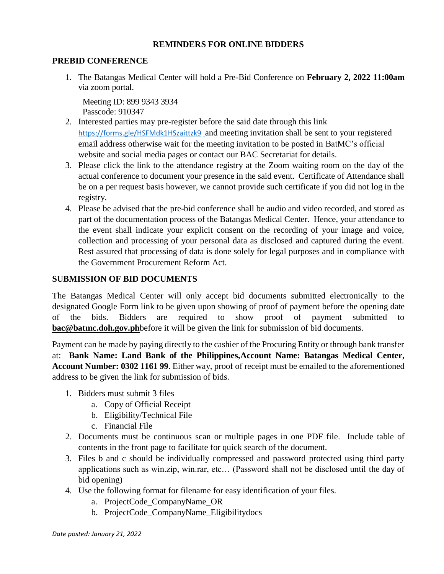#### **REMINDERS FOR ONLINE BIDDERS**

#### **PREBID CONFERENCE**

1. The Batangas Medical Center will hold a Pre-Bid Conference on **February 2, 2022 11:00am** via zoom portal.

Meeting ID: 899 9343 3934 Passcode: 910347

- 2. Interested parties may pre-register before the said date through this link <https://forms.gle/HSFMdk1HSzaittzk9> and meeting invitation shall be sent to your registered email address otherwise wait for the meeting invitation to be posted in BatMC's official website and social media pages or contact our BAC Secretariat for details.
- 3. Please click the link to the attendance registry at the Zoom waiting room on the day of the actual conference to document your presence in the said event. Certificate of Attendance shall be on a per request basis however, we cannot provide such certificate if you did not log in the registry.
- 4. Please be advised that the pre-bid conference shall be audio and video recorded, and stored as part of the documentation process of the Batangas Medical Center. Hence, your attendance to the event shall indicate your explicit consent on the recording of your image and voice, collection and processing of your personal data as disclosed and captured during the event. Rest assured that processing of data is done solely for legal purposes and in compliance with the Government Procurement Reform Act.

## **SUBMISSION OF BID DOCUMENTS**

The Batangas Medical Center will only accept bid documents submitted electronically to the designated Google Form link to be given upon showing of proof of payment before the opening date of the bids. Bidders are required to show proof of payment submitted to **[bac@batmc.doh.gov.ph](mailto:bac@batmc.doh.gov.ph)**before it will be given the link for submission of bid documents.

Payment can be made by paying directly to the cashier of the Procuring Entity or through bank transfer at: **Bank Name: Land Bank of the Philippines,Account Name: Batangas Medical Center, Account Number: 0302 1161 99**. Either way, proof of receipt must be emailed to the aforementioned address to be given the link for submission of bids.

- 1. Bidders must submit 3 files
	- a. Copy of Official Receipt
	- b. Eligibility/Technical File
	- c. Financial File
- 2. Documents must be continuous scan or multiple pages in one PDF file. Include table of contents in the front page to facilitate for quick search of the document.
- 3. Files b and c should be individually compressed and password protected using third party applications such as win.zip, win.rar, etc… (Password shall not be disclosed until the day of bid opening)
- 4. Use the following format for filename for easy identification of your files.
	- a. ProjectCode\_CompanyName\_OR
	- b. ProjectCode\_CompanyName\_Eligibilitydocs